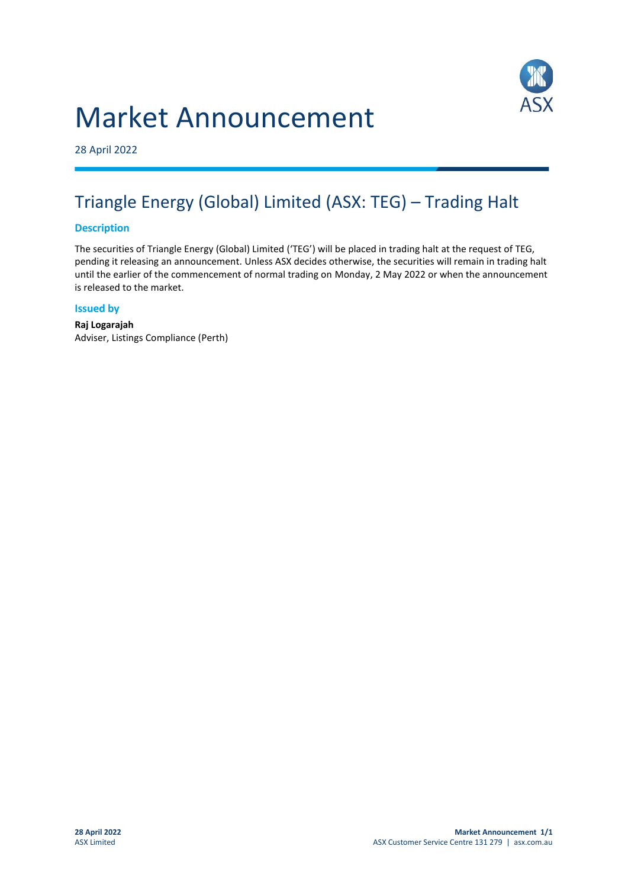# Market Announcement



28 April 2022

### Triangle Energy (Global) Limited (ASX: TEG) – Trading Halt

#### **Description**

The securities of Triangle Energy (Global) Limited ('TEG') will be placed in trading halt at the request of TEG, pending it releasing an announcement. Unless ASX decides otherwise, the securities will remain in trading halt until the earlier of the commencement of normal trading on Monday, 2 May 2022 or when the announcement is released to the market.

#### **Issued by**

**Raj Logarajah** Adviser, Listings Compliance (Perth)